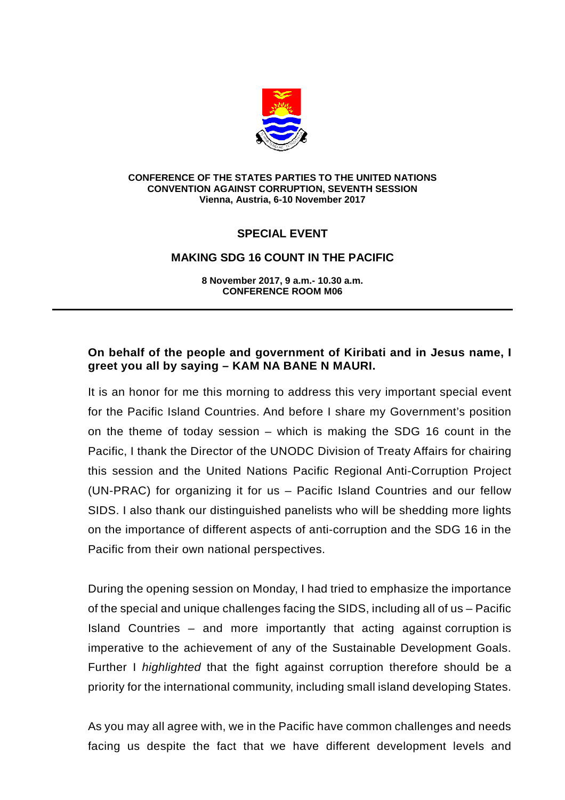

#### **CONFERENCE OF THE STATES PARTIES TO THE UNITED NATIONS CONVENTION AGAINST CORRUPTION, SEVENTH SESSION Vienna, Austria, 6-10 November 2017**

# **SPECIAL EVENT**

### **MAKING SDG 16 COUNT IN THE PACIFIC**

**8 November 2017, 9 a.m.- 10.30 a.m. CONFERENCE ROOM M06** 

### **On behalf of the people and government of Kiribati and in Jesus name, I greet you all by saying – KAM NA BANE N MAURI.**

It is an honor for me this morning to address this very important special event for the Pacific Island Countries. And before I share my Government's position on the theme of today session – which is making the SDG 16 count in the Pacific, I thank the Director of the UNODC Division of Treaty Affairs for chairing this session and the United Nations Pacific Regional Anti-Corruption Project (UN-PRAC) for organizing it for us – Pacific Island Countries and our fellow SIDS. I also thank our distinguished panelists who will be shedding more lights on the importance of different aspects of anti-corruption and the SDG 16 in the Pacific from their own national perspectives.

During the opening session on Monday, I had tried to emphasize the importance of the special and unique challenges facing the SIDS, including all of us – Pacific Island Countries – and more importantly that acting against corruption is imperative to the achievement of any of the Sustainable Development Goals. Further I highlighted that the fight against corruption therefore should be a priority for the international community, including small island developing States.

As you may all agree with, we in the Pacific have common challenges and needs facing us despite the fact that we have different development levels and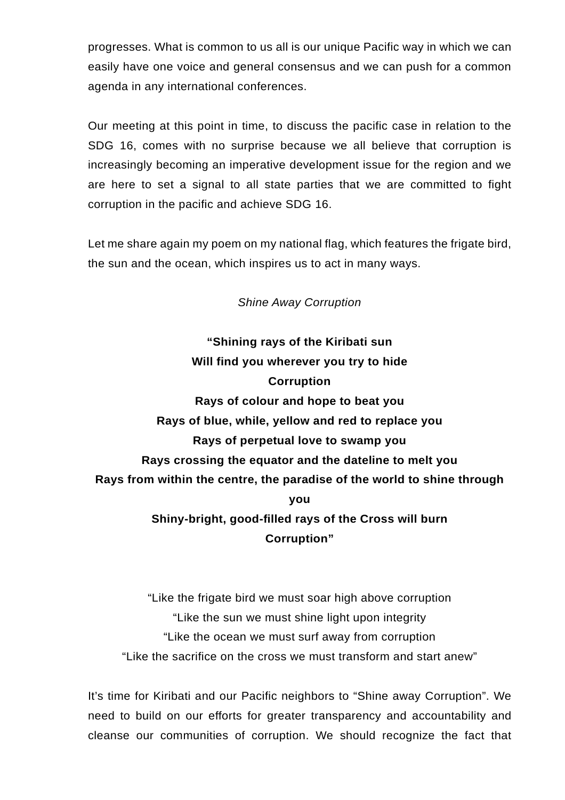progresses. What is common to us all is our unique Pacific way in which we can easily have one voice and general consensus and we can push for a common agenda in any international conferences.

Our meeting at this point in time, to discuss the pacific case in relation to the SDG 16, comes with no surprise because we all believe that corruption is increasingly becoming an imperative development issue for the region and we are here to set a signal to all state parties that we are committed to fight corruption in the pacific and achieve SDG 16.

Let me share again my poem on my national flag, which features the frigate bird, the sun and the ocean, which inspires us to act in many ways.

## Shine Away Corruption

**"Shining rays of the Kiribati sun Will find you wherever you try to hide Corruption Rays of colour and hope to beat you Rays of blue, while, yellow and red to replace you Rays of perpetual love to swamp you Rays crossing the equator and the dateline to melt you Rays from within the centre, the paradise of the world to shine through you Shiny-bright, good-filled rays of the Cross will burn Corruption"** 

"Like the frigate bird we must soar high above corruption "Like the sun we must shine light upon integrity "Like the ocean we must surf away from corruption "Like the sacrifice on the cross we must transform and start anew"

It's time for Kiribati and our Pacific neighbors to "Shine away Corruption". We need to build on our efforts for greater transparency and accountability and cleanse our communities of corruption. We should recognize the fact that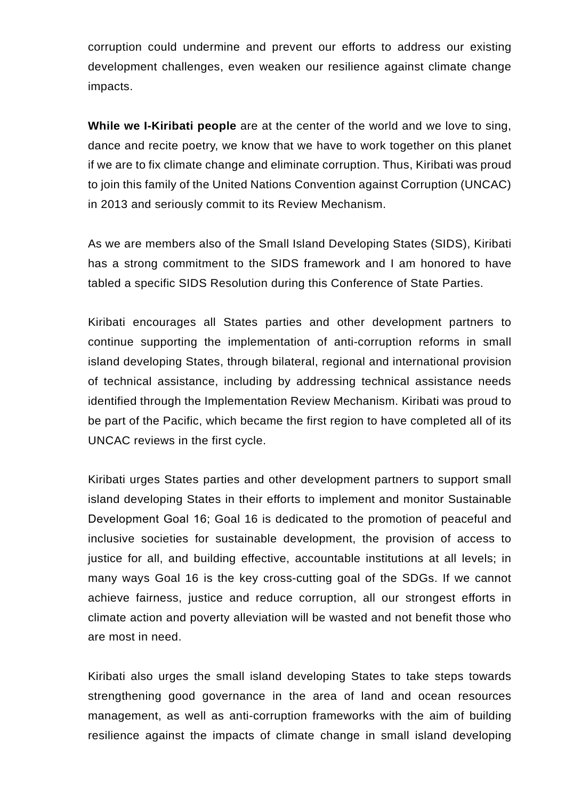corruption could undermine and prevent our efforts to address our existing development challenges, even weaken our resilience against climate change impacts.

**While we I-Kiribati people** are at the center of the world and we love to sing, dance and recite poetry, we know that we have to work together on this planet if we are to fix climate change and eliminate corruption. Thus, Kiribati was proud to join this family of the United Nations Convention against Corruption (UNCAC) in 2013 and seriously commit to its Review Mechanism.

As we are members also of the Small Island Developing States (SIDS), Kiribati has a strong commitment to the SIDS framework and I am honored to have tabled a specific SIDS Resolution during this Conference of State Parties.

Kiribati encourages all States parties and other development partners to continue supporting the implementation of anti-corruption reforms in small island developing States, through bilateral, regional and international provision of technical assistance, including by addressing technical assistance needs identified through the Implementation Review Mechanism. Kiribati was proud to be part of the Pacific, which became the first region to have completed all of its UNCAC reviews in the first cycle.

Kiribati urges States parties and other development partners to support small island developing States in their efforts to implement and monitor Sustainable Development Goal 16; Goal 16 is dedicated to the promotion of peaceful and inclusive societies for sustainable development, the provision of access to justice for all, and building effective, accountable institutions at all levels; in many ways Goal 16 is the key cross-cutting goal of the SDGs. If we cannot achieve fairness, justice and reduce corruption, all our strongest efforts in climate action and poverty alleviation will be wasted and not benefit those who are most in need.

Kiribati also urges the small island developing States to take steps towards strengthening good governance in the area of land and ocean resources management, as well as anti-corruption frameworks with the aim of building resilience against the impacts of climate change in small island developing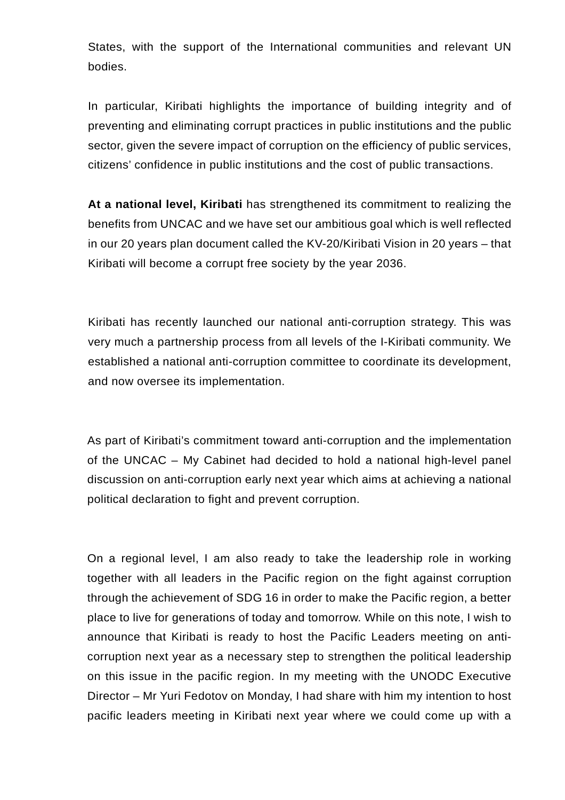States, with the support of the International communities and relevant UN bodies.

In particular, Kiribati highlights the importance of building integrity and of preventing and eliminating corrupt practices in public institutions and the public sector, given the severe impact of corruption on the efficiency of public services, citizens' confidence in public institutions and the cost of public transactions.

**At a national level, Kiribati** has strengthened its commitment to realizing the benefits from UNCAC and we have set our ambitious goal which is well reflected in our 20 years plan document called the KV-20/Kiribati Vision in 20 years – that Kiribati will become a corrupt free society by the year 2036.

Kiribati has recently launched our national anti-corruption strategy. This was very much a partnership process from all levels of the I-Kiribati community. We established a national anti-corruption committee to coordinate its development, and now oversee its implementation.

As part of Kiribati's commitment toward anti-corruption and the implementation of the UNCAC – My Cabinet had decided to hold a national high-level panel discussion on anti-corruption early next year which aims at achieving a national political declaration to fight and prevent corruption.

On a regional level, I am also ready to take the leadership role in working together with all leaders in the Pacific region on the fight against corruption through the achievement of SDG 16 in order to make the Pacific region, a better place to live for generations of today and tomorrow. While on this note, I wish to announce that Kiribati is ready to host the Pacific Leaders meeting on anticorruption next year as a necessary step to strengthen the political leadership on this issue in the pacific region. In my meeting with the UNODC Executive Director – Mr Yuri Fedotov on Monday, I had share with him my intention to host pacific leaders meeting in Kiribati next year where we could come up with a